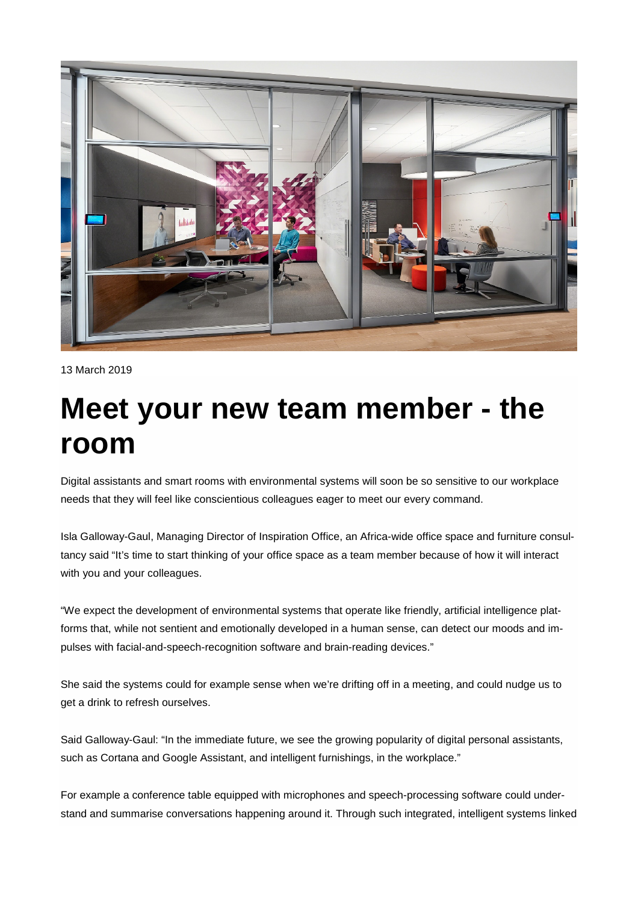

```
13 March 2019
```
## **Meet your new team member - the room**

Digital assistants and smart rooms with environmental systems will soon be so sensitive to our workplace needs that they will feel like conscientious colleagues eager to meet our every command.

Isla Galloway-Gaul, Managing Director of Inspiration Office, an Africa-wide office space and furniture consultancy said "It's time to start thinking of your office space as a team member because of how it will interact with you and your colleagues.

"We expect the development of environmental systems that operate like friendly, artificial intelligence platforms that, while not sentient and emotionally developed in a human sense, can detect our moods and impulses with facial-and-speech-recognition software and brain-reading devices."

She said the systems could for example sense when we're drifting off in a meeting, and could nudge us to get a drink to refresh ourselves.

Said Galloway-Gaul: "In the immediate future, we see the growing popularity of digital personal assistants, such as Cortana and Google Assistant, and intelligent furnishings, in the workplace."

For example a conference table equipped with microphones and speech-processing software could understand and summarise conversations happening around it. Through such integrated, intelligent systems linked